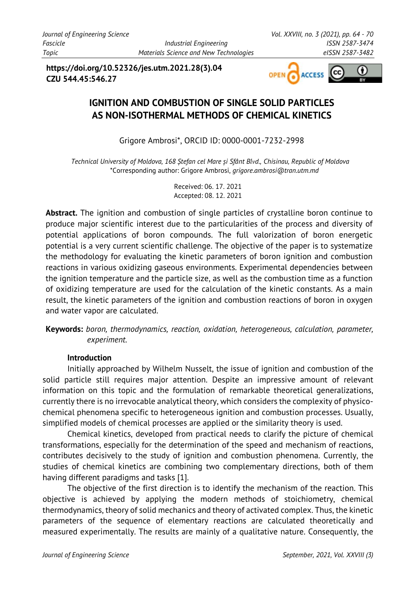**https://doi.org/10.52326/jes.utm.2021.28(3).04 CZU 544.45:546.27**



# **IGNITION AND COMBUSTION OF SINGLE SOLID PARTICLES AS NON-ISOTHERMAL METHODS OF CHEMICAL KINETICS**

Grigore Ambrosi\*, ORCID ID: 0000-0001-7232-2998

*Technical University of Moldova, 168 Ștefan cel Mare și Sfânt Blvd., Chisinau, Republic of Moldova* \*Corresponding author: Grigore Ambrosi, *grigore.ambrosi@tran.utm.md*

> Received: 06. 17. 2021 Accepted: 08. 12. 2021

**Abstract.** The ignition and combustion of single particles of crystalline boron continue to produce major scientific interest due to the particularities of the process and diversity of potential applications of boron compounds. The full valorization of boron energetic potential is a very current scientific challenge. The objective of the paper is to systematize the methodology for evaluating the kinetic parameters of boron ignition and combustion reactions in various oxidizing gaseous environments. Experimental dependencies between the ignition temperature and the particle size, as well as the combustion time as a function of oxidizing temperature are used for the calculation of the kinetic constants. As a main result, the kinetic parameters of the ignition and combustion reactions of boron in oxygen and water vapor are calculated.

**Keywords:** *boron, thermodynamics, reaction, oxidation, heterogeneous, calculation, parameter, experiment.*

## **Introduction**

Initially approached by Wilhelm Nusselt, the issue of ignition and combustion of the solid particle still requires major attention. Despite an impressive amount of relevant information on this topic and the formulation of remarkable theoretical generalizations, currently there is no irrevocable analytical theory, which considers the complexity of physicochemical phenomena specific to heterogeneous ignition and combustion processes. Usually, simplified models of chemical processes are applied or the similarity theory is used.

Chemical kinetics, developed from practical needs to clarify the picture of chemical transformations, especially for the determination of the speed and mechanism of reactions, contributes decisively to the study of ignition and combustion phenomena. Currently, the studies of chemical kinetics are combining two complementary directions, both of them having different paradigms and tasks [1].

The objective of the first direction is to identify the mechanism of the reaction. This objective is achieved by applying the modern methods of stoichiometry, chemical thermodynamics, theory of solid mechanics and theory of activated complex. Thus, the kinetic parameters of the sequence of elementary reactions are calculated theoretically and measured experimentally. The results are mainly of a qualitative nature. Consequently, the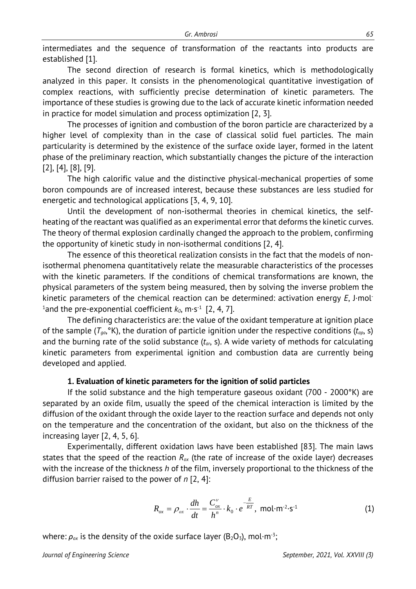intermediates and the sequence of transformation of the reactants into products are established [1].

The second direction of research is formal kinetics, which is methodologically analyzed in this paper. It consists in the phenomenological quantitative investigation of complex reactions, with sufficiently precise determination of kinetic parameters. The importance of these studies is growing due to the lack of accurate kinetic information needed in practice for model simulation and process optimization [2, 3].

The processes of ignition and combustion of the boron particle are characterized by a higher level of complexity than in the case of classical solid fuel particles. The main particularity is determined by the existence of the surface oxide layer, formed in the latent phase of the preliminary reaction, which substantially changes the picture of the interaction [2], [4], [8], [9].

The high calorific value and the distinctive physical-mechanical properties of some boron compounds are of increased interest, because these substances are less studied for energetic and technological applications [3, 4, 9, 10].

Until the development of non-isothermal theories in chemical kinetics, the selfheating of the reactant was qualified as an experimental error that deforms the kinetic curves. The theory of thermal explosion cardinally changed the approach to the problem, confirming the opportunity of kinetic study in non-isothermal conditions [2, 4].

The essence of this theoretical realization consists in the fact that the models of nonisothermal phenomena quantitatively relate the measurable characteristics of the processes with the kinetic parameters. If the conditions of chemical transformations are known, the physical parameters of the system being measured, then by solving the inverse problem the kinetic parameters of the chemical reaction can be determined: activation energy *E*, J·mol- $^1$ and the pre-exponential coefficient  $k_0$ , m·s<sup>-1</sup> [2, 4, 7].

The defining characteristics are: the value of the oxidant temperature at ignition place of the sample  $(T_{qa}, {}^{\circ}K)$ , the duration of particle ignition under the respective conditions  $(t_{ap}, s)$ and the burning rate of the solid substance (*tar*, s). A wide variety of methods for calculating kinetic parameters from experimental ignition and combustion data are currently being developed and applied.

#### **1. Evaluation of kinetic parameters for the ignition of solid particles**

If the solid substance and the high temperature gaseous oxidant (700 - 2000°K) are separated by an oxide film, usually the speed of the chemical interaction is limited by the diffusion of the oxidant through the oxide layer to the reaction surface and depends not only on the temperature and the concentration of the oxidant, but also on the thickness of the increasing layer [2, 4, 5, 6].

Experimentally, different oxidation laws have been established [83]. The main laws states that the speed of the reaction  $R_{\alpha x}$  (the rate of increase of the oxide layer) decreases with the increase of the thickness *h* of the film, inversely proportional to the thickness of the diffusion barrier raised to the power of *n* [2, 4]:

$$
R_{ox} = \rho_{ox} \cdot \frac{dh}{dt} = \frac{C_{ox}^{\nu}}{h^n} \cdot k_0 \cdot e^{-\frac{E}{RT}}, \text{ mol} \cdot \text{m}^{-2} \cdot \text{s}^{-1}
$$
 (1)

where:  $\rho_{ox}$  is the density of the oxide surface layer ( $B_2O_3$ ), mol·m<sup>-3</sup>;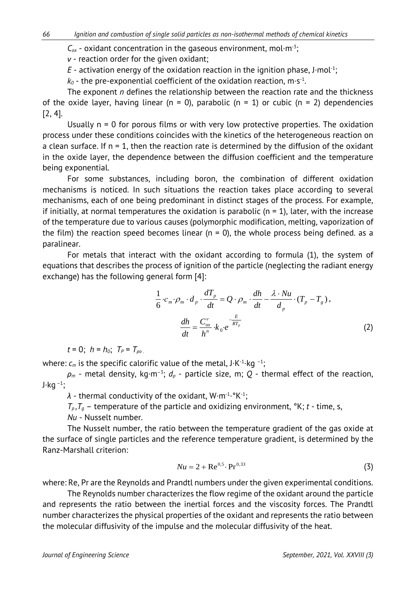$C_{\alpha x}$  - oxidant concentration in the gaseous environment, mol·m<sup>-3</sup>;

*ν* - reaction order for the given oxidant;

 $E$  - activation energy of the oxidation reaction in the ignition phase,  $J$ ·mol<sup>-1</sup>;

 $k_0$  - the pre-exponential coefficient of the oxidation reaction, m·s<sup>-1</sup>.

The exponent *n* defines the relationship between the reaction rate and the thickness of the oxide layer, having linear ( $n = 0$ ), parabolic ( $n = 1$ ) or cubic ( $n = 2$ ) dependencies [2, 4].

Usually  $n = 0$  for porous films or with very low protective properties. The oxidation process under these conditions coincides with the kinetics of the heterogeneous reaction on a clean surface. If  $n = 1$ , then the reaction rate is determined by the diffusion of the oxidant in the oxide layer, the dependence between the diffusion coefficient and the temperature being exponential.

For some substances, including boron, the combination of different oxidation mechanisms is noticed. In such situations the reaction takes place according to several mechanisms, each of one being predominant in distinct stages of the process. For example, if initially, at normal temperatures the oxidation is parabolic ( $n = 1$ ), later, with the increase of the temperature due to various causes (polymorphic modification, melting, vaporization of the film) the reaction speed becomes linear ( $n = 0$ ), the whole process being defined. as a paralinear.

For metals that interact with the oxidant according to formula (1), the system of equations that describes the process of ignition of the particle (neglecting the radiant energy exchange) has the following general form [4]:

$$
\frac{1}{6} \cdot c_m \cdot \rho_m \cdot d_p \cdot \frac{dT_p}{dt} = Q \cdot \rho_m \cdot \frac{dh}{dt} - \frac{\lambda \cdot Nu}{d_p} \cdot (T_p - T_g),
$$

$$
\frac{dh}{dt} = \frac{C_{ox}^{\nu}}{h^n} \cdot k_0 \cdot e^{-\frac{E}{RT_p}}
$$
(2)

 $t = 0$ ;  $h = h_0$ ;  $T_P = T_{po}$ 

where:  $c_m$  is the specific calorific value of the metal,  $J \cdot K^{-1} \cdot kq^{-1}$ ;

 $\rho_m$  - metal density, kg·m<sup>-3</sup>;  $d_p$  - particle size, m; Q - thermal effect of the reaction,  $J·kq^{-1}$ ;

*λ* - thermal conductivity of the oxidant, W·m-1·°K-1;

 $T_p, T_g$  – temperature of the particle and oxidizing environment,  $\alpha$ K; *t* - time, s,

*Nu* - Nusselt number.

The Nusselt number, the ratio between the temperature gradient of the gas oxide at the surface of single particles and the reference temperature gradient, is determined by the Ranz-Marshall criterion:

$$
Nu = 2 + \text{Re}^{0.5} \cdot \text{Pr}^{0.33} \tag{3}
$$

where: Re, Pr are the Reynolds and Prandtl numbers under the given experimental conditions.

The Reynolds number characterizes the flow regime of the oxidant around the particle and represents the ratio between the inertial forces and the viscosity forces. The Prandtl number characterizes the physical properties of the oxidant and represents the ratio between the molecular diffusivity of the impulse and the molecular diffusivity of the heat.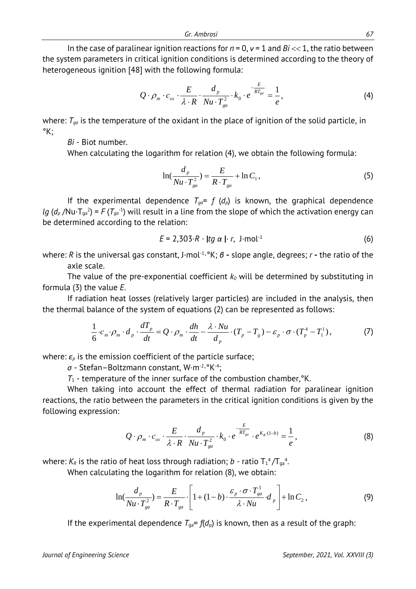In the case of paralinear ignition reactions for *n* = 0, *ν* = 1 and *Bi* << 1, the ratio between the system parameters in critical ignition conditions is determined according to the theory of heterogeneous ignition [48] with the following formula:

$$
Q \cdot \rho_m \cdot c_{ox} \cdot \frac{E}{\lambda \cdot R} \cdot \frac{d_p}{Nu \cdot T_{ga}^2} \cdot k_0 \cdot e^{-\frac{E}{RT_{ga}}} = \frac{1}{e},\tag{4}
$$

where:  $T_{ga}$  is the temperature of the oxidant in the place of ignition of the solid particle, in °K;

*Bi* - Biot number.

When calculating the logarithm for relation (4), we obtain the following formula:

$$
\ln(\frac{d_p}{Nu \cdot T_{ga}^2}) = \frac{E}{R \cdot T_{ga}} + \ln C_1,
$$
\n(5)

If the experimental dependence  $T_{qa} = f(d_p)$  is known, the graphical dependence *lg* ( $d_p$  /Nu $\cdot$ T<sub>ga</sub><sup>2</sup>) = *F* ( $T_{ga}$ <sup>1</sup>) will result in a line from the slope of which the activation energy can be determined according to the relation:

$$
E = 2,303 \cdot R \cdot \text{ltg } \alpha \text{ } \cdot \text{ } r, \text{ } J \cdot \text{mol}^{-1} \tag{6}
$$

where: *R* is the universal gas constant, J·mol-1·°K; *β* **-** slope angle, degrees; *r* **-** the ratio of the axle scale.

The value of the pre-exponential coefficient  $k_0$  will be determined by substituting in formula (3) the value *E*.

If radiation heat losses (relatively larger particles) are included in the analysis, then the thermal balance of the system of equations (2) can be represented as follows:

$$
\frac{1}{6} \cdot c_m \cdot \rho_m \cdot d_p \cdot \frac{dT_p}{dt} = Q \cdot \rho_m \cdot \frac{dh}{dt} - \frac{\lambda \cdot Nu}{d_p} \cdot (T_p - T_s) - \varepsilon_p \cdot \sigma \cdot (T_p^4 - T_1^1), \tag{7}
$$

where:  $\varepsilon_p$  is the emission coefficient of the particle surface;

*σ* - Stefan–Boltzmann constant, W·m-2·°K-4;

 $T_1$  - temperature of the inner surface of the combustion chamber,  $K$ .

When taking into account the effect of thermal radiation for paralinear ignition reactions, the ratio between the parameters in the critical ignition conditions is given by the following expression:

$$
Q \cdot \rho_m \cdot c_{ox} \cdot \frac{E}{\lambda \cdot R} \cdot \frac{d_p}{Nu \cdot T_{ga}^2} \cdot k_0 \cdot e^{-\frac{E}{RT_{ga}}} \cdot e^{K_R \cdot (1-b)} = \frac{1}{e}, \qquad (8)
$$

where:  $K_R$  is the ratio of heat loss through radiation; *b* - ratio  $T_1^4/T_{ga}^4$ .

When calculating the logarithm for relation (8), we obtain:

$$
\ln(\frac{d_p}{Nu \cdot T_{ga}^2}) = \frac{E}{R \cdot T_{ga}} \cdot \left[1 + (1 - b) \cdot \frac{\varepsilon_p \cdot \sigma \cdot T_{ga}^3}{\lambda \cdot Nu} \cdot d_p\right] + \ln C_2, \tag{9}
$$

If the experimental dependence  $T_{\text{ga}} = f(d_p)$  is known, then as a result of the graph: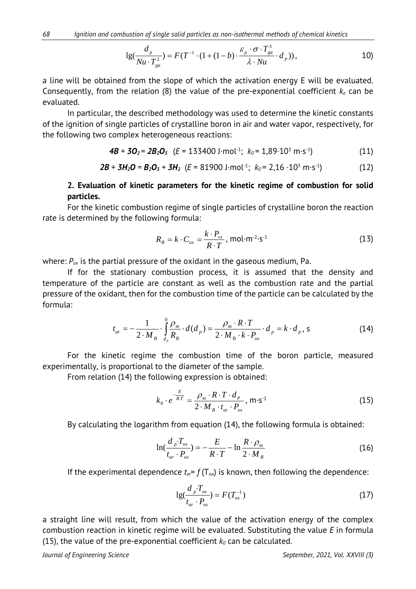$$
\lg(\frac{d_p}{Nu \cdot T_{ga}^2}) = F(T^{-1} \cdot (1 + (1 - b) \cdot \frac{\varepsilon_p \cdot \sigma \cdot T_{ga}^3}{\lambda \cdot Nu} \cdot d_p)),
$$

a line will be obtained from the slope of which the activation energy E will be evaluated. Consequently, from the relation (8) the value of the pre-exponential coefficient *ko* can be evaluated.

In particular, the described methodology was used to determine the kinetic constants of the ignition of single particles of crystalline boron in air and water vapor, respectively, for the following two complex heterogeneous reactions:

$$
4B + 3O_2 = 2B_2O_3 \quad (E = 133400 \text{ J} \cdot \text{mol}^{-1}; \ k_0 = 1,89 \cdot 10^3 \text{ m} \cdot \text{s}^{-1}) \tag{11}
$$

$$
2B + 3H_2O = B_2O_3 + 3H_2 \ (E = 81900 \text{ J} \cdot \text{mol}^{-1}; \ k_0 = 2,16 \cdot 10^3 \text{ m} \cdot \text{s}^{-1}) \tag{12}
$$

## **2. Evaluation of kinetic parameters for the kinetic regime of combustion for solid particles.**

For the kinetic combustion regime of single particles of crystalline boron the reaction rate is determined by the following formula:

$$
R_B = k \cdot C_{ox} = \frac{k \cdot P_{ox}}{R \cdot T}, \text{mol} \cdot m^{-2} \cdot s^{-1}
$$
 (13)

where:  $P_{ox}$  is the partial pressure of the oxidant in the gaseous medium, Pa.

If for the stationary combustion process, it is assumed that the density and temperature of the particle are constant as well as the combustion rate and the partial pressure of the oxidant, then for the combustion time of the particle can be calculated by the formula:

$$
t_{ar} = -\frac{1}{2 \cdot M_B} \cdot \int_{d_p}^{0} \frac{\rho_m}{R_B} \cdot d(d_p) = \frac{\rho_m \cdot R \cdot T}{2 \cdot M_B \cdot k \cdot P_{ox}} \cdot d_p = k \cdot d_p, \quad \text{S}
$$
 (14)

For the kinetic regime the combustion time of the boron particle, measured experimentally, is proportional to the diameter of the sample.

From relation (14) the following expression is obtained:

$$
k_0 \cdot e^{-\frac{E}{RT}} = \frac{\rho_m \cdot R \cdot T \cdot d_P}{2 \cdot M_B \cdot t_{ar} \cdot P_{ox}}, \text{ m·s-1}
$$
 (15)

By calculating the logarithm from equation (14), the following formula is obtained:

$$
\ln(\frac{d_p \cdot T_{ox}}{t_{ar} \cdot P_{ox}}) = -\frac{E}{R \cdot T} - \ln \frac{R \cdot \rho_m}{2 \cdot M_B}
$$
(16)

If the experimental dependence  $t_{\alpha} = f(T_{\alpha x})$  is known, then following the dependence:

$$
lg(\frac{d_p \cdot T_{ox}}{t_{ar} \cdot P_{ox}}) = F(T_{ox}^{-1})
$$
\n(17)

a straight line will result, from which the value of the activation energy of the complex combustion reaction in kinetic regime will be evaluated. Substituting the value *E* in formula (15), the value of the pre-exponential coefficient  $k_0$  can be calculated.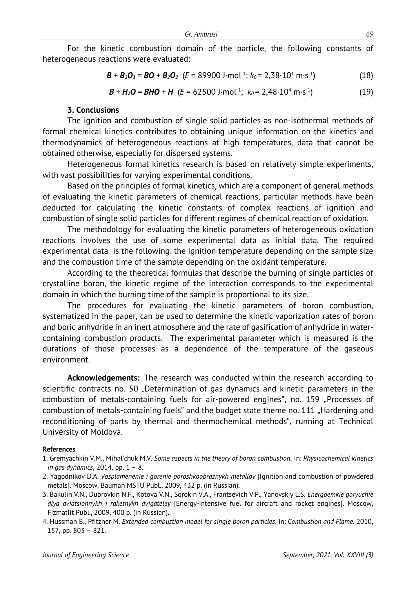For the kinetic combustion domain of the particle, the following constants of heterogeneous reactions were evaluated:

$$
\mathbf{B} + \mathbf{B}_2 \mathbf{O}_3 = \mathbf{B} \mathbf{O} + \mathbf{B}_2 \mathbf{O}_2 \ \ (E = 89900 \text{ J} \cdot \text{mol}^{-1}; \ k_0 = 2,38 \cdot 10^4 \text{ m} \cdot \text{s}^{-1}) \tag{18}
$$

$$
\mathbf{B} + \mathbf{H}_2 \mathbf{O} = \mathbf{B} \mathbf{H} \mathbf{O} + \mathbf{H} \quad (E = 62500 \text{ J} \cdot \text{mol}^{-1}; \ k_0 = 2,48 \cdot 10^4 \text{ m} \cdot \text{s}^{-1}) \tag{19}
$$

### **3. Conclusions**

The ignition and combustion of single solid particles as non-isothermal methods of formal chemical kinetics contributes to obtaining unique information on the kinetics and thermodynamics of heterogeneous reactions at high temperatures, data that cannot be obtained otherwise, especially for dispersed systems.

Heterogeneous formal kinetics research is based on relatively simple experiments, with vast possibilities for varying experimental conditions.

Based on the principles of formal kinetics, which are a component of general methods of evaluating the kinetic parameters of chemical reactions, particular methods have been deducted for calculating the kinetic constants of complex reactions of ignition and combustion of single solid particles for different regimes of chemical reaction of oxidation.

The methodology for evaluating the kinetic parameters of heterogeneous oxidation reactions involves the use of some experimental data as initial data. The required experimental data is the following: the ignition temperature depending on the sample size and the combustion time of the sample depending on the oxidant temperature.

According to the theoretical formulas that describe the burning of single particles of crystalline boron, the kinetic regime of the interaction corresponds to the experimental domain in which the burning time of the sample is proportional to its size.

The procedures for evaluating the kinetic parameters of boron combustion, systematized in the paper, can be used to determine the kinetic vaporization rates of boron and boric anhydride in an inert atmosphere and the rate of gasification of anhydride in watercontaining combustion products. The experimental parameter which is measured is the durations of those processes as a dependence of the temperature of the gaseous environment.

**Acknowledgements:** The research was conducted within the research according to scientific contracts no. 50 "Determination of gas dynamics and kinetic parameters in the combustion of metals-containing fuels for air-powered engines", no. 159 "Processes of combustion of metals-containing fuels" and the budget state theme no. 111 "Hardening and reconditioning of parts by thermal and thermochemical methods", running at Technical University of Moldova.

#### **References**

<sup>1.</sup> Gremyachkin V.M., Mihal'chuk M.V. *Some aspects in the theory of boron combustion*. In: *Physicochemical kinetics in gas dynamics*, 2014, pp. 1 – 8.

<sup>2.</sup> Yagodnikov D.A. *Vosplamenenie i gorenie poroshkoobraznykh metallov* [Ignition and combustion of powdered metals]. Moscow, Bauman MSTU Publ., 2009, 432 p. (in Russian).

<sup>3.</sup> Bakulin V.N., Dubrovkin N.F., Kotova V.N., Sorokin V.A., Frantsevich V.P., Yanovskiy L.S. *Energoemkie goryuchie dlya aviatsionnykh i raketnykh dvigateley* [Energy-intensive fuel for aircraft and rocket engines]. Moscow, Fizmatlit Publ., 2009, 400 p. (in Russian).

<sup>4.</sup> Hussman B., Pfitzner M. *Extended combustion model for single boron particles*. In: *Combustion and Flame*. 2010, 157, pp. 803 – 821.